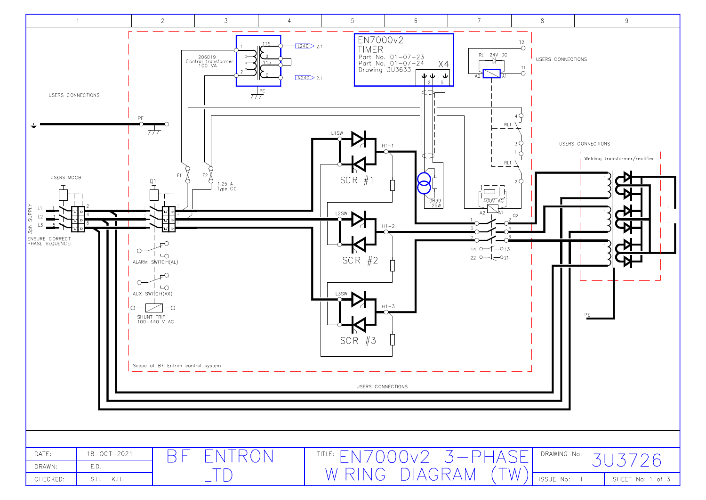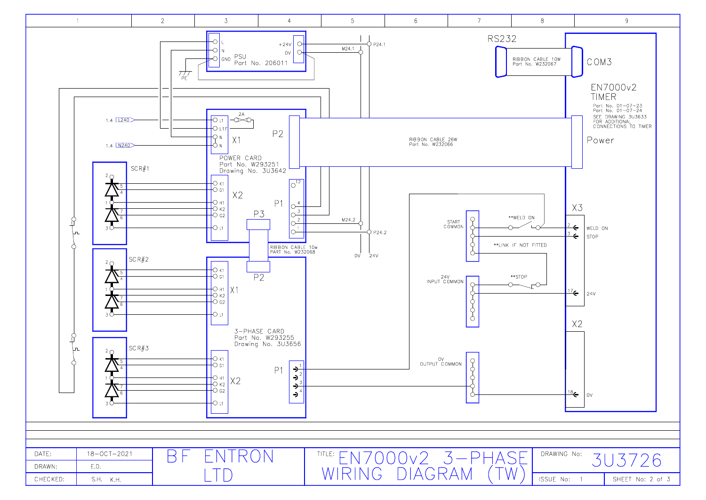